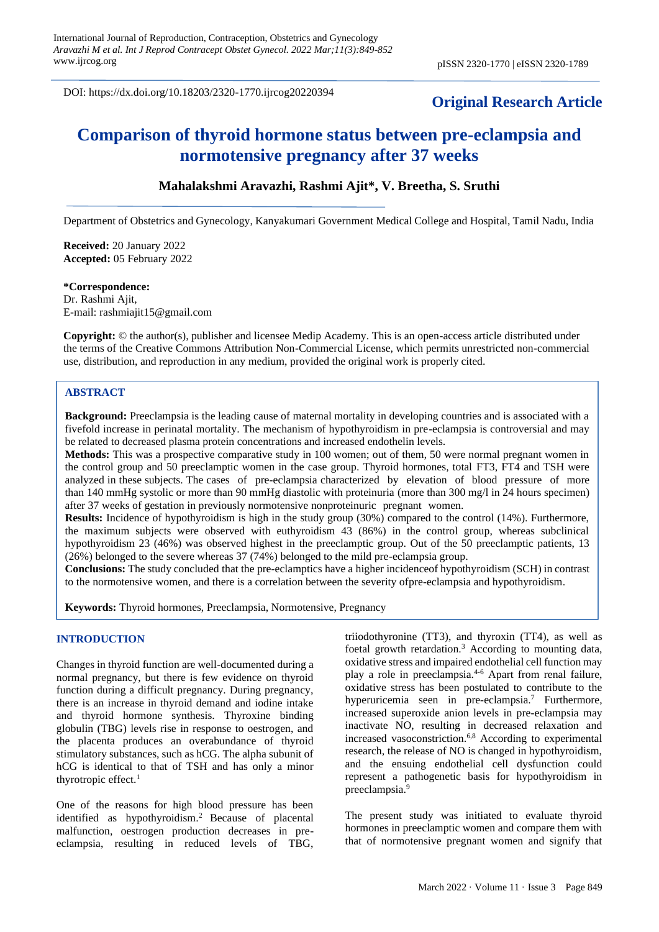DOI: https://dx.doi.org/10.18203/2320-1770.ijrcog20220394

# **Original Research Article**

# **Comparison of thyroid hormone status between pre-eclampsia and normotensive pregnancy after 37 weeks**

# **Mahalakshmi Aravazhi, Rashmi Ajit\*, V. Breetha, S. Sruthi**

Department of Obstetrics and Gynecology, Kanyakumari Government Medical College and Hospital, Tamil Nadu, India

**Received:** 20 January 2022 **Accepted:** 05 February 2022

#### **\*Correspondence:**

Dr. Rashmi Ajit, E-mail: rashmiajit15@gmail.com

**Copyright:** © the author(s), publisher and licensee Medip Academy. This is an open-access article distributed under the terms of the Creative Commons Attribution Non-Commercial License, which permits unrestricted non-commercial use, distribution, and reproduction in any medium, provided the original work is properly cited.

### **ABSTRACT**

**Background:** Preeclampsia is the leading cause of maternal mortality in developing countries and is associated with a fivefold increase in perinatal mortality. The mechanism of hypothyroidism in pre-eclampsia is controversial and may be related to decreased plasma protein concentrations and increased endothelin levels.

**Methods:** This was a prospective comparative study in 100 women; out of them, 50 were normal pregnant women in the control group and 50 preeclamptic women in the case group. Thyroid hormones, total FT3, FT4 and TSH were analyzed in these subjects. The cases of pre-eclampsia characterized by elevation of blood pressure of more than 140 mmHg systolic or more than 90 mmHg diastolic with proteinuria (more than 300 mg/l in 24 hours specimen) after 37 weeks of gestation in previously normotensive nonproteinuric pregnant women.

**Results:** Incidence of hypothyroidism is high in the study group (30%) compared to the control (14%). Furthermore, the maximum subjects were observed with euthyroidism 43 (86%) in the control group, whereas subclinical hypothyroidism 23 (46%) was observed highest in the preeclamptic group. Out of the 50 preeclamptic patients, 13 (26%) belonged to the severe whereas 37 (74%) belonged to the mild pre-eclampsia group.

**Conclusions:** The study concluded that the pre-eclamptics have a higher incidenceof hypothyroidism (SCH) in contrast to the normotensive women, and there is a correlation between the severity ofpre-eclampsia and hypothyroidism.

**Keywords:** Thyroid hormones, Preeclampsia, Normotensive, Pregnancy

### **INTRODUCTION**

Changes in thyroid function are well-documented during a normal pregnancy, but there is few evidence on thyroid function during a difficult pregnancy. During pregnancy, there is an increase in thyroid demand and iodine intake and thyroid hormone synthesis. Thyroxine binding globulin (TBG) levels rise in response to oestrogen, and the placenta produces an overabundance of thyroid stimulatory substances, such as hCG. The alpha subunit of hCG is identical to that of TSH and has only a minor thyrotropic effect.<sup>1</sup>

One of the reasons for high blood pressure has been identified as hypothyroidism.<sup>2</sup> Because of placental malfunction, oestrogen production decreases in preeclampsia, resulting in reduced levels of TBG, triiodothyronine (TT3), and thyroxin (TT4), as well as foetal growth retardation.<sup>3</sup> According to mounting data, oxidative stress and impaired endothelial cell function may play a role in preeclampsia.4-6 Apart from renal failure, oxidative stress has been postulated to contribute to the hyperuricemia seen in pre-eclampsia.<sup>7</sup> Furthermore, increased superoxide anion levels in pre-eclampsia may inactivate NO, resulting in decreased relaxation and increased vasoconstriction.6,8 According to experimental research, the release of NO is changed in hypothyroidism, and the ensuing endothelial cell dysfunction could represent a pathogenetic basis for hypothyroidism in preeclampsia.<sup>9</sup>

The present study was initiated to evaluate thyroid hormones in preeclamptic women and compare them with that of normotensive pregnant women and signify that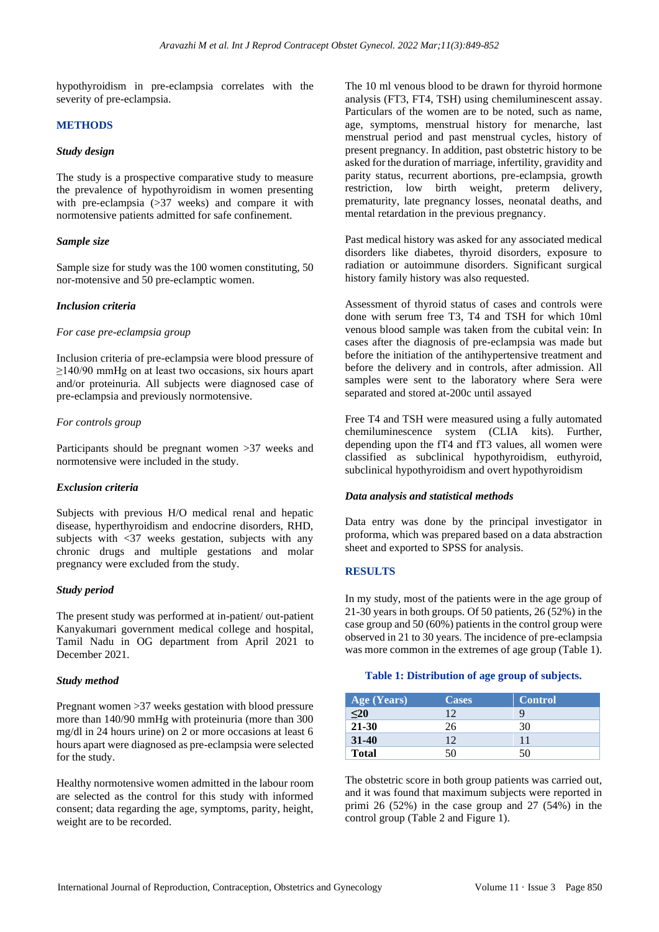hypothyroidism in pre-eclampsia correlates with the severity of pre-eclampsia.

#### **METHODS**

### *Study design*

The study is a prospective comparative study to measure the prevalence of hypothyroidism in women presenting with pre-eclampsia (>37 weeks) and compare it with normotensive patients admitted for safe confinement.

#### *Sample size*

Sample size for study was the 100 women constituting, 50 nor-motensive and 50 pre-eclamptic women.

#### *Inclusion criteria*

#### *For case pre-eclampsia group*

Inclusion criteria of pre-eclampsia were blood pressure of ≥140/90 mmHg on at least two occasions, six hours apart and/or proteinuria. All subjects were diagnosed case of pre-eclampsia and previously normotensive.

#### *For controls group*

Participants should be pregnant women >37 weeks and normotensive were included in the study.

#### *Exclusion criteria*

Subjects with previous H/O medical renal and hepatic disease, hyperthyroidism and endocrine disorders, RHD, subjects with <37 weeks gestation, subjects with any chronic drugs and multiple gestations and molar pregnancy were excluded from the study.

#### *Study period*

The present study was performed at in-patient/ out-patient Kanyakumari government medical college and hospital, Tamil Nadu in OG department from April 2021 to December 2021.

#### *Study method*

Pregnant women >37 weeks gestation with blood pressure more than 140/90 mmHg with proteinuria (more than 300 mg/dl in 24 hours urine) on 2 or more occasions at least 6 hours apart were diagnosed as pre-eclampsia were selected for the study.

Healthy normotensive women admitted in the labour room are selected as the control for this study with informed consent; data regarding the age, symptoms, parity, height, weight are to be recorded.

The 10 ml venous blood to be drawn for thyroid hormone analysis (FT3, FT4, TSH) using chemiluminescent assay. Particulars of the women are to be noted, such as name, age, symptoms, menstrual history for menarche, last menstrual period and past menstrual cycles, history of present pregnancy. In addition, past obstetric history to be asked for the duration of marriage, infertility, gravidity and parity status, recurrent abortions, pre-eclampsia, growth restriction, low birth weight, preterm delivery, prematurity, late pregnancy losses, neonatal deaths, and mental retardation in the previous pregnancy.

Past medical history was asked for any associated medical disorders like diabetes, thyroid disorders, exposure to radiation or autoimmune disorders. Significant surgical history family history was also requested.

Assessment of thyroid status of cases and controls were done with serum free T3, T4 and TSH for which 10ml venous blood sample was taken from the cubital vein: In cases after the diagnosis of pre-eclampsia was made but before the initiation of the antihypertensive treatment and before the delivery and in controls, after admission. All samples were sent to the laboratory where Sera were separated and stored at-200c until assayed

Free T4 and TSH were measured using a fully automated chemiluminescence system (CLIA kits). Further, depending upon the fT4 and fT3 values, all women were classified as subclinical hypothyroidism, euthyroid, subclinical hypothyroidism and overt hypothyroidism

#### *Data analysis and statistical methods*

Data entry was done by the principal investigator in proforma, which was prepared based on a data abstraction sheet and exported to SPSS for analysis.

#### **RESULTS**

In my study, most of the patients were in the age group of 21-30 years in both groups. Of 50 patients, 26 (52%) in the case group and 50 (60%) patients in the control group were observed in 21 to 30 years. The incidence of pre-eclampsia was more common in the extremes of age group (Table 1).

#### **Table 1: Distribution of age group of subjects.**

| Age (Years)         | <b>Cases</b> | <b>Control</b> |
|---------------------|--------------|----------------|
| $\overline{\leq}20$ | 12           |                |
| $21 - 30$           | 26           | 30             |
| $31 - 40$           | 12           | 11             |
| <b>Total</b>        | 50           | 50             |

The obstetric score in both group patients was carried out, and it was found that maximum subjects were reported in primi 26 (52%) in the case group and 27 (54%) in the control group (Table 2 and Figure 1).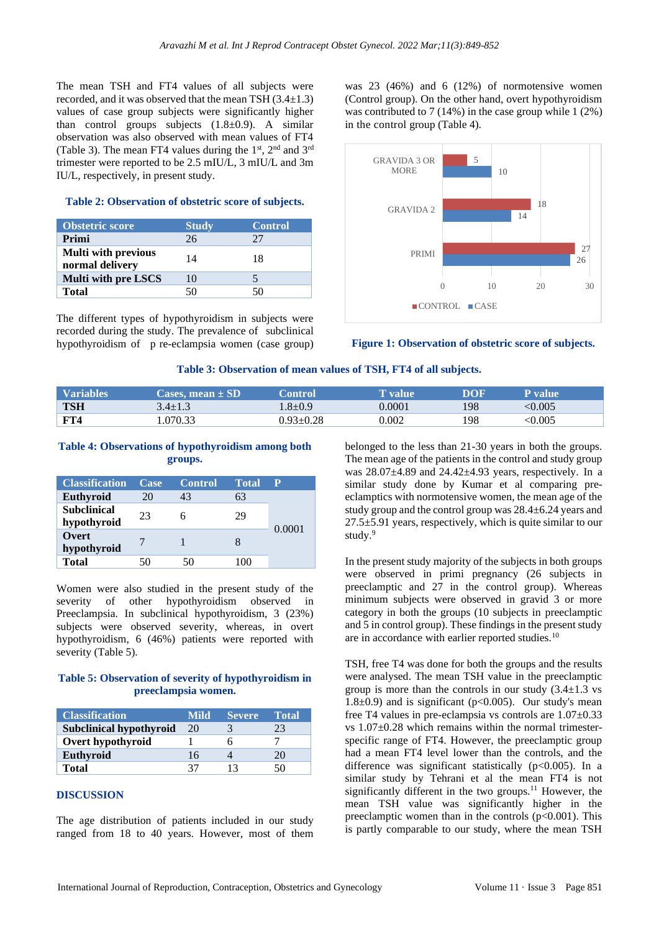The mean TSH and FT4 values of all subjects were recorded, and it was observed that the mean TSH (3.4±1.3) values of case group subjects were significantly higher than control groups subjects  $(1.8\pm0.9)$ . A similar observation was also observed with mean values of FT4 (Table 3). The mean FT4 values during the  $1<sup>st</sup>$ ,  $2<sup>nd</sup>$  and  $3<sup>rd</sup>$ trimester were reported to be 2.5 mIU/L, 3 mIU/L and 3m IU/L, respectively, in present study.

### **Table 2: Observation of obstetric score of subjects.**

| <b>Obstetric score</b>                        | <b>Study</b> | <b>Control</b> |
|-----------------------------------------------|--------------|----------------|
| Primi                                         | 26           | 27             |
| <b>Multi with previous</b><br>normal delivery | 14           | 18             |
| <b>Multi with pre LSCS</b>                    | 10           |                |
| <b>Total</b>                                  | -50.         | 50             |

The different types of hypothyroidism in subjects were recorded during the study. The prevalence of subclinical hypothyroidism of p re-eclampsia women (case group) was 23 (46%) and 6 (12%) of normotensive women (Control group). On the other hand, overt hypothyroidism was contributed to 7 (14%) in the case group while 1 (2%) in the control group (Table 4).



**Figure 1: Observation of obstetric score of subjects.**

### **Table 3: Observation of mean values of TSH, FT4 of all subjects.**

| <b>Variables</b> | $\sf{Cases.\,mean} \pm SD^{-1}$ | <b>\ontrol</b> | l' value' | DOF | l' value                  |
|------------------|---------------------------------|----------------|-----------|-----|---------------------------|
| <b>TSH</b>       | 3.4±1.3                         | $.8 + 0.9$     | 0.0001    | 198 | < 0.005                   |
| <b>FT4</b>       | .070.33                         | ገ 93+0 28      | 0.002     | 198 | $< \hspace{-0.5mm} 0.005$ |

### **Table 4: Observations of hypothyroidism among both groups.**

| <b>Classification</b>             | Case | <b>Control</b> | <b>Total</b> | P      |
|-----------------------------------|------|----------------|--------------|--------|
| Euthyroid                         | 20   | 43             | 63           |        |
| <b>Subclinical</b><br>hypothyroid | 23   |                | 29           | 0.0001 |
| Overt<br>hypothyroid              |      |                |              |        |
| <b>Total</b>                      |      | 50.            | 1 ( )( )     |        |

Women were also studied in the present study of the severity of other hypothyroidism observed in Preeclampsia. In subclinical hypothyroidism, 3 (23%) subjects were observed severity, whereas, in overt hypothyroidism, 6 (46%) patients were reported with severity (Table 5).

## **Table 5: Observation of severity of hypothyroidism in preeclampsia women.**

| <b>Classification</b>          | Mild | <b>Severe</b> | <b>Total</b> |
|--------------------------------|------|---------------|--------------|
| <b>Subclinical hypothyroid</b> | 20   |               |              |
| Overt hypothyroid              |      |               |              |
| Euthyroid                      | 16   |               | 20           |
| Total                          | 37   |               | 50           |

### **DISCUSSION**

The age distribution of patients included in our study ranged from 18 to 40 years. However, most of them belonged to the less than 21-30 years in both the groups. The mean age of the patients in the control and study group was  $28.07\pm4.89$  and  $24.42\pm4.93$  years, respectively. In a similar study done by Kumar et al comparing preeclamptics with normotensive women, the mean age of the study group and the control group was 28.4±6.24 years and 27.5±5.91 years, respectively, which is quite similar to our study.<sup>9</sup>

In the present study majority of the subjects in both groups were observed in primi pregnancy (26 subjects in preeclamptic and 27 in the control group). Whereas minimum subjects were observed in gravid 3 or more category in both the groups (10 subjects in preeclamptic and 5 in control group). These findings in the present study are in accordance with earlier reported studies.<sup>10</sup>

TSH, free T4 was done for both the groups and the results were analysed. The mean TSH value in the preeclamptic group is more than the controls in our study  $(3.4 \pm 1.3 \text{ vs }$ 1.8 $\pm$ 0.9) and is significant (p<0.005). Our study's mean free T4 values in pre-eclampsia vs controls are 1.07±0.33 vs  $1.07\pm0.28$  which remains within the normal trimesterspecific range of FT4. However, the preeclamptic group had a mean FT4 level lower than the controls, and the difference was significant statistically (p<0.005). In a similar study by Tehrani et al the mean FT4 is not significantly different in the two groups.<sup>11</sup> However, the mean TSH value was significantly higher in the preeclamptic women than in the controls  $(p<0.001)$ . This is partly comparable to our study, where the mean TSH